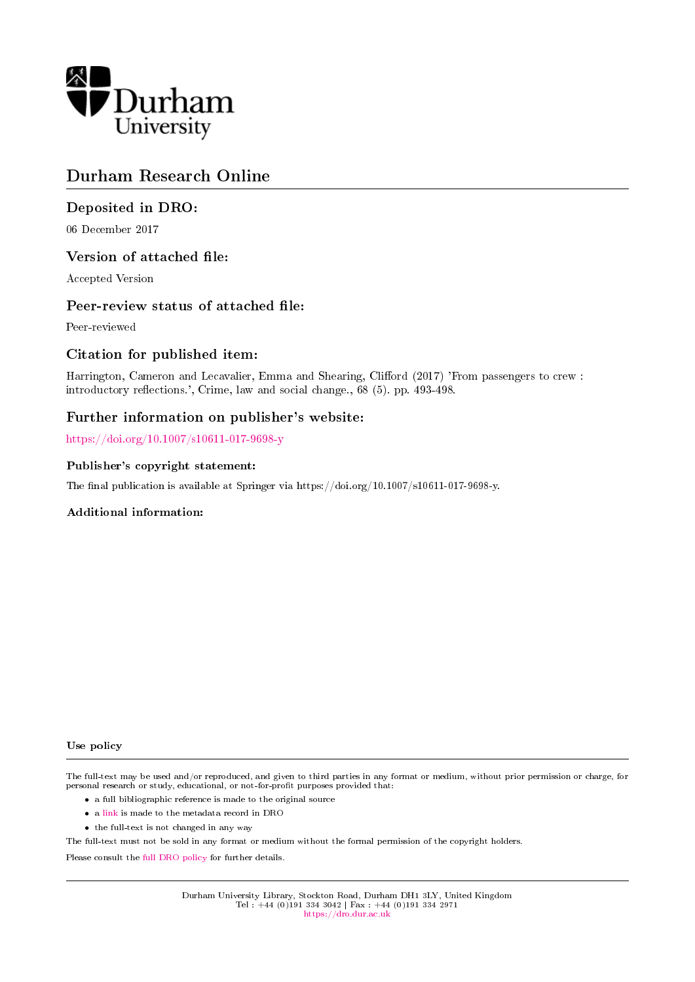

# Durham Research Online

### Deposited in DRO:

06 December 2017

### Version of attached file:

Accepted Version

### Peer-review status of attached file:

Peer-reviewed

### Citation for published item:

Harrington, Cameron and Lecavalier, Emma and Shearing, Clifford (2017) 'From passengers to crew : introductory reflections.', Crime, law and social change., 68 (5). pp. 493-498.

### Further information on publisher's website:

<https://doi.org/10.1007/s10611-017-9698-y>

#### Publisher's copyright statement:

The final publication is available at Springer via https://doi.org/10.1007/s10611-017-9698-y.

### Additional information:

#### Use policy

The full-text may be used and/or reproduced, and given to third parties in any format or medium, without prior permission or charge, for personal research or study, educational, or not-for-profit purposes provided that:

- a full bibliographic reference is made to the original source
- a [link](http://dro.dur.ac.uk/23637/) is made to the metadata record in DRO
- the full-text is not changed in any way

The full-text must not be sold in any format or medium without the formal permission of the copyright holders.

Please consult the [full DRO policy](https://dro.dur.ac.uk/policies/usepolicy.pdf) for further details.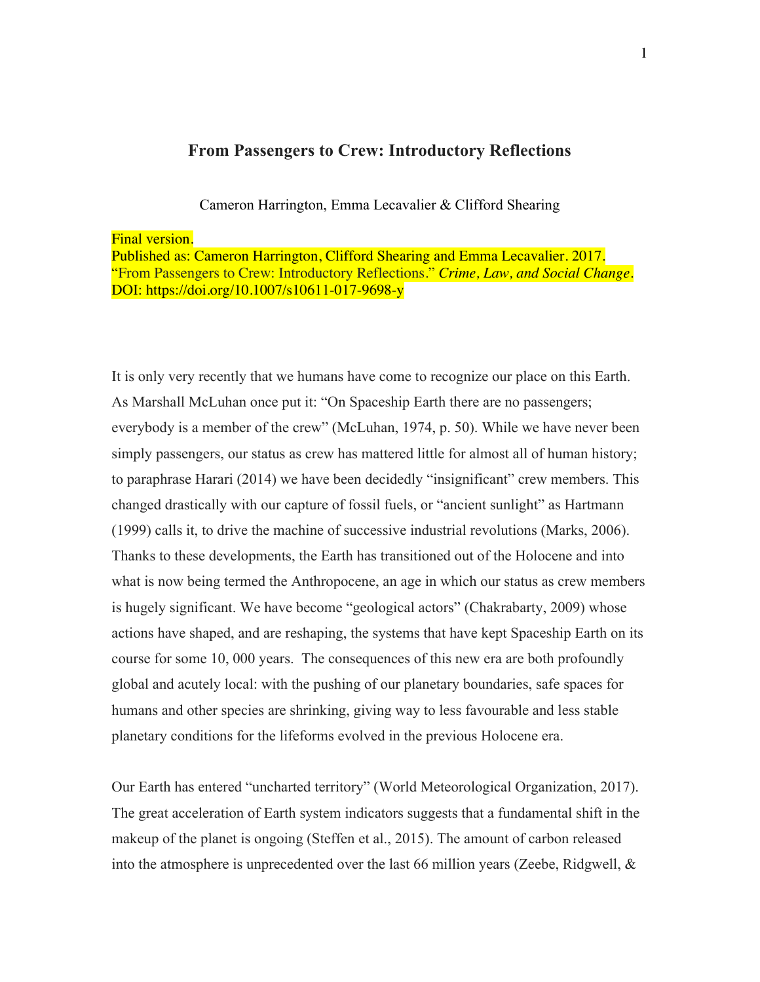## **From Passengers to Crew: Introductory Reflections**

Cameron Harrington, Emma Lecavalier & Clifford Shearing

Final version.

Published as: Cameron Harrington, Clifford Shearing and Emma Lecavalier. 2017. "From Passengers to Crew: Introductory Reflections." *Crime, Law, and Social Change*. DOI: https://doi.org/10.1007/s10611-017-9698-y

It is only very recently that we humans have come to recognize our place on this Earth. As Marshall McLuhan once put it: "On Spaceship Earth there are no passengers; everybody is a member of the crew" (McLuhan, 1974, p. 50). While we have never been simply passengers, our status as crew has mattered little for almost all of human history; to paraphrase Harari (2014) we have been decidedly "insignificant" crew members. This changed drastically with our capture of fossil fuels, or "ancient sunlight" as Hartmann (1999) calls it, to drive the machine of successive industrial revolutions (Marks, 2006). Thanks to these developments, the Earth has transitioned out of the Holocene and into what is now being termed the Anthropocene, an age in which our status as crew members is hugely significant. We have become "geological actors" (Chakrabarty, 2009) whose actions have shaped, and are reshaping, the systems that have kept Spaceship Earth on its course for some 10, 000 years. The consequences of this new era are both profoundly global and acutely local: with the pushing of our planetary boundaries, safe spaces for humans and other species are shrinking, giving way to less favourable and less stable planetary conditions for the lifeforms evolved in the previous Holocene era.

Our Earth has entered "uncharted territory" (World Meteorological Organization, 2017). The great acceleration of Earth system indicators suggests that a fundamental shift in the makeup of the planet is ongoing (Steffen et al., 2015). The amount of carbon released into the atmosphere is unprecedented over the last 66 million years (Zeebe, Ridgwell,  $\&$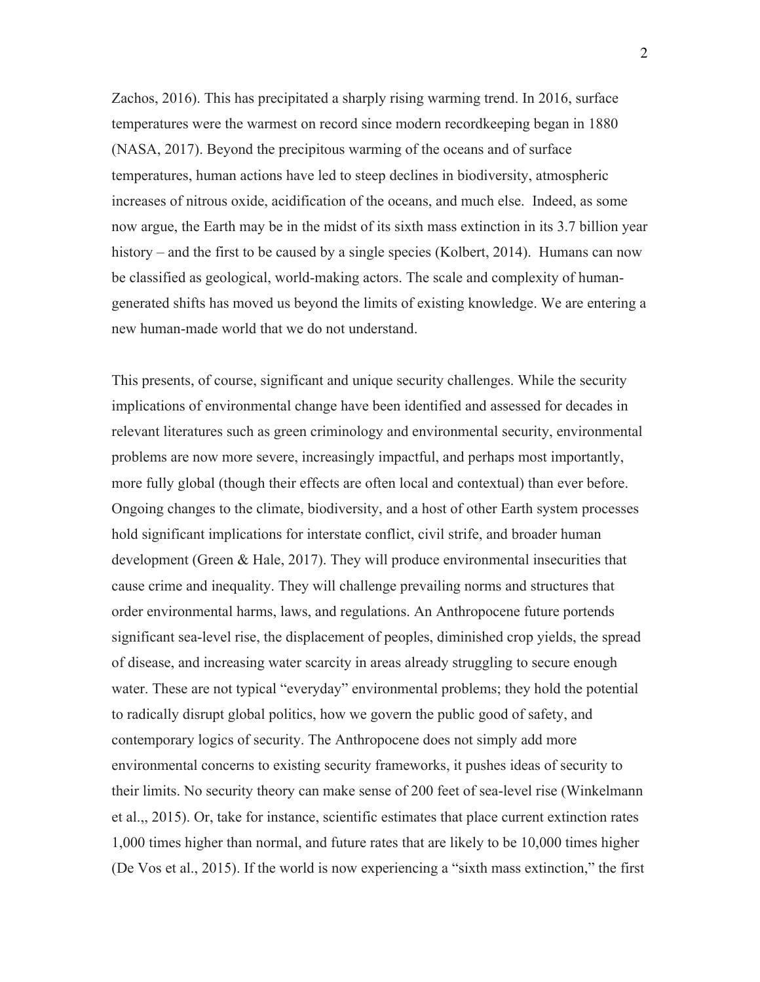Zachos, 2016). This has precipitated a sharply rising warming trend. In 2016, surface temperatures were the warmest on record since modern recordkeeping began in 1880 (NASA, 2017). Beyond the precipitous warming of the oceans and of surface temperatures, human actions have led to steep declines in biodiversity, atmospheric increases of nitrous oxide, acidification of the oceans, and much else. Indeed, as some now argue, the Earth may be in the midst of its sixth mass extinction in its 3.7 billion year history – and the first to be caused by a single species (Kolbert, 2014). Humans can now be classified as geological, world-making actors. The scale and complexity of humangenerated shifts has moved us beyond the limits of existing knowledge. We are entering a new human-made world that we do not understand.

This presents, of course, significant and unique security challenges. While the security implications of environmental change have been identified and assessed for decades in relevant literatures such as green criminology and environmental security, environmental problems are now more severe, increasingly impactful, and perhaps most importantly, more fully global (though their effects are often local and contextual) than ever before. Ongoing changes to the climate, biodiversity, and a host of other Earth system processes hold significant implications for interstate conflict, civil strife, and broader human development (Green & Hale, 2017). They will produce environmental insecurities that cause crime and inequality. They will challenge prevailing norms and structures that order environmental harms, laws, and regulations. An Anthropocene future portends significant sea-level rise, the displacement of peoples, diminished crop yields, the spread of disease, and increasing water scarcity in areas already struggling to secure enough water. These are not typical "everyday" environmental problems; they hold the potential to radically disrupt global politics, how we govern the public good of safety, and contemporary logics of security. The Anthropocene does not simply add more environmental concerns to existing security frameworks, it pushes ideas of security to their limits. No security theory can make sense of 200 feet of sea-level rise (Winkelmann et al.,, 2015). Or, take for instance, scientific estimates that place current extinction rates 1,000 times higher than normal, and future rates that are likely to be 10,000 times higher (De Vos et al., 2015). If the world is now experiencing a "sixth mass extinction," the first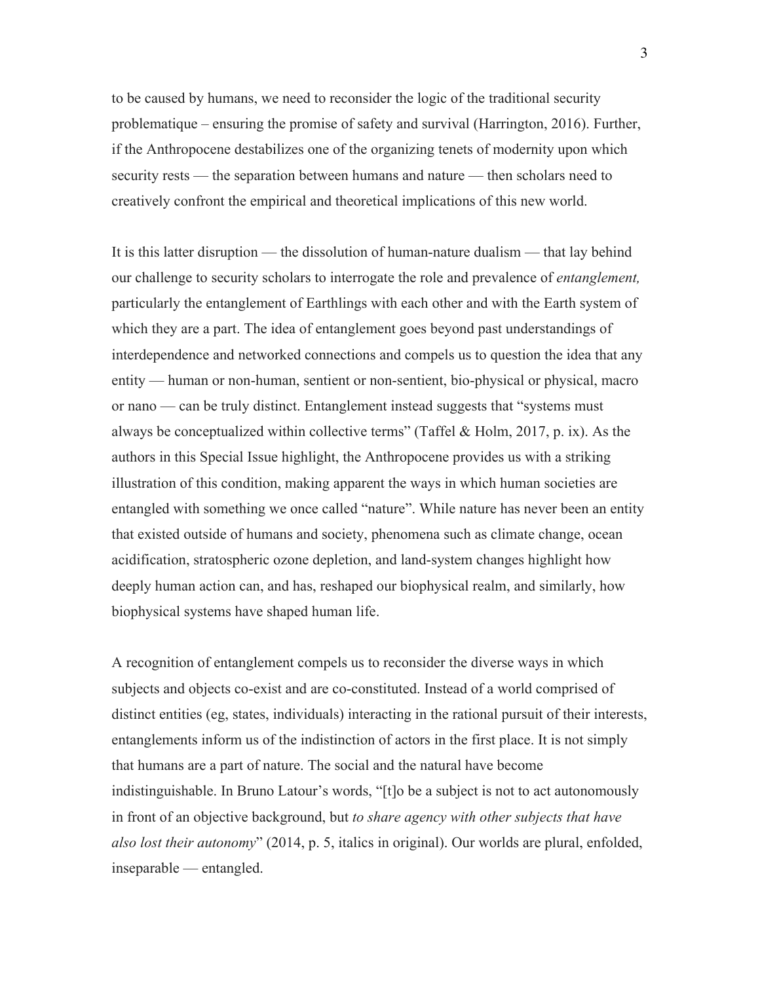to be caused by humans, we need to reconsider the logic of the traditional security problematique – ensuring the promise of safety and survival (Harrington, 2016). Further, if the Anthropocene destabilizes one of the organizing tenets of modernity upon which security rests — the separation between humans and nature — then scholars need to creatively confront the empirical and theoretical implications of this new world.

It is this latter disruption — the dissolution of human-nature dualism — that lay behind our challenge to security scholars to interrogate the role and prevalence of *entanglement,* particularly the entanglement of Earthlings with each other and with the Earth system of which they are a part. The idea of entanglement goes beyond past understandings of interdependence and networked connections and compels us to question the idea that any entity — human or non-human, sentient or non-sentient, bio-physical or physical, macro or nano — can be truly distinct. Entanglement instead suggests that "systems must always be conceptualized within collective terms" (Taffel  $&$  Holm, 2017, p. ix). As the authors in this Special Issue highlight, the Anthropocene provides us with a striking illustration of this condition, making apparent the ways in which human societies are entangled with something we once called "nature". While nature has never been an entity that existed outside of humans and society, phenomena such as climate change, ocean acidification, stratospheric ozone depletion, and land-system changes highlight how deeply human action can, and has, reshaped our biophysical realm, and similarly, how biophysical systems have shaped human life.

A recognition of entanglement compels us to reconsider the diverse ways in which subjects and objects co-exist and are co-constituted. Instead of a world comprised of distinct entities (eg, states, individuals) interacting in the rational pursuit of their interests, entanglements inform us of the indistinction of actors in the first place. It is not simply that humans are a part of nature. The social and the natural have become indistinguishable. In Bruno Latour's words, "[t]o be a subject is not to act autonomously in front of an objective background, but *to share agency with other subjects that have also lost their autonomy*" (2014, p. 5, italics in original). Our worlds are plural, enfolded, inseparable — entangled.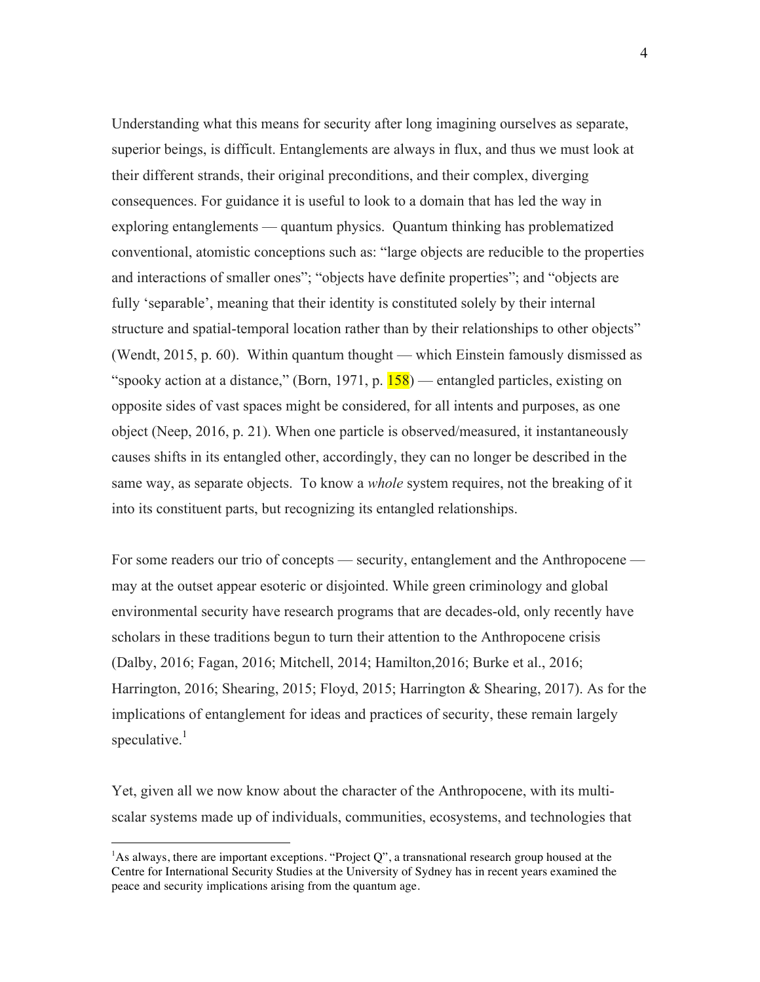Understanding what this means for security after long imagining ourselves as separate, superior beings, is difficult. Entanglements are always in flux, and thus we must look at their different strands, their original preconditions, and their complex, diverging consequences. For guidance it is useful to look to a domain that has led the way in exploring entanglements — quantum physics. Quantum thinking has problematized conventional, atomistic conceptions such as: "large objects are reducible to the properties and interactions of smaller ones"; "objects have definite properties"; and "objects are fully 'separable', meaning that their identity is constituted solely by their internal structure and spatial-temporal location rather than by their relationships to other objects" (Wendt, 2015, p. 60). Within quantum thought — which Einstein famously dismissed as "spooky action at a distance," (Born, 1971, p.  $\overline{158}$ ) — entangled particles, existing on opposite sides of vast spaces might be considered, for all intents and purposes, as one object (Neep, 2016, p. 21). When one particle is observed/measured, it instantaneously causes shifts in its entangled other, accordingly, they can no longer be described in the same way, as separate objects. To know a *whole* system requires, not the breaking of it into its constituent parts, but recognizing its entangled relationships.

For some readers our trio of concepts — security, entanglement and the Anthropocene may at the outset appear esoteric or disjointed. While green criminology and global environmental security have research programs that are decades-old, only recently have scholars in these traditions begun to turn their attention to the Anthropocene crisis (Dalby, 2016; Fagan, 2016; Mitchell, 2014; Hamilton,2016; Burke et al., 2016; Harrington, 2016; Shearing, 2015; Floyd, 2015; Harrington & Shearing, 2017). As for the implications of entanglement for ideas and practices of security, these remain largely speculative.<sup>1</sup>

Yet, given all we now know about the character of the Anthropocene, with its multiscalar systems made up of individuals, communities, ecosystems, and technologies that

 

<sup>&</sup>lt;sup>1</sup>As always, there are important exceptions. "Project Q", a transnational research group housed at the Centre for International Security Studies at the University of Sydney has in recent years examined the peace and security implications arising from the quantum age.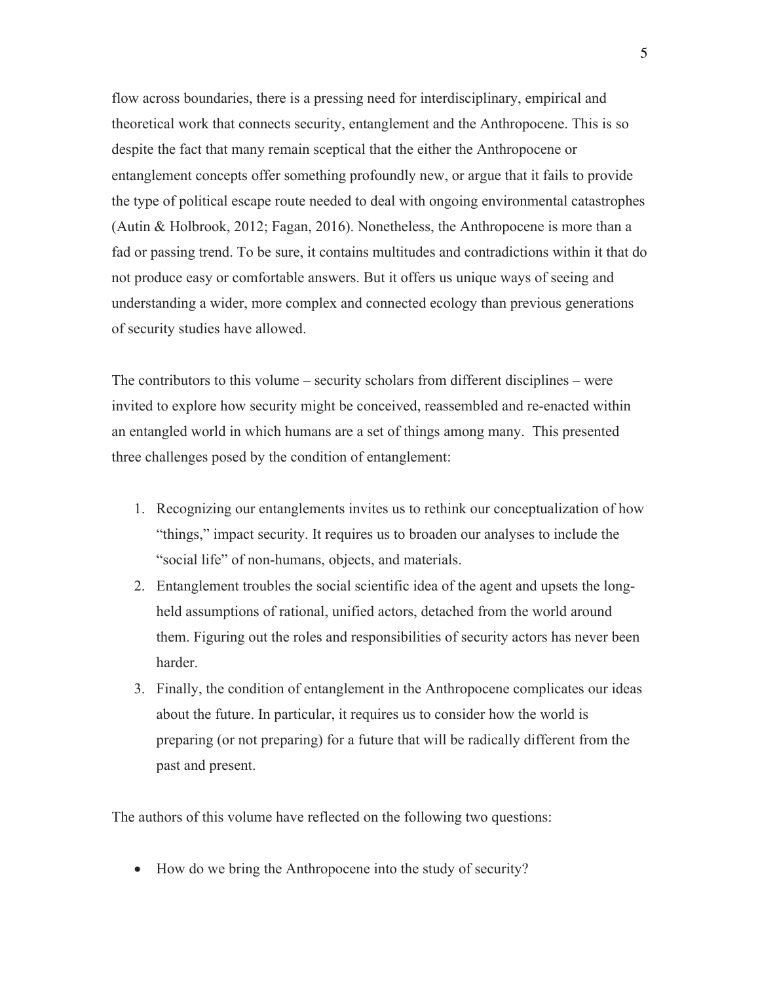flow across boundaries, there is a pressing need for interdisciplinary, empirical and theoretical work that connects security, entanglement and the Anthropocene. This is so despite the fact that many remain sceptical that the either the Anthropocene or entanglement concepts offer something profoundly new, or argue that it fails to provide the type of political escape route needed to deal with ongoing environmental catastrophes (Autin & Holbrook, 2012; Fagan, 2016). Nonetheless, the Anthropocene is more than a fad or passing trend. To be sure, it contains multitudes and contradictions within it that do not produce easy or comfortable answers. But it offers us unique ways of seeing and understanding a wider, more complex and connected ecology than previous generations of security studies have allowed.

The contributors to this volume – security scholars from different disciplines – were invited to explore how security might be conceived, reassembled and re-enacted within an entangled world in which humans are a set of things among many. This presented three challenges posed by the condition of entanglement:

- 1. Recognizing our entanglements invites us to rethink our conceptualization of how "things," impact security. It requires us to broaden our analyses to include the "social life" of non-humans, objects, and materials.
- 2. Entanglement troubles the social scientific idea of the agent and upsets the longheld assumptions of rational, unified actors, detached from the world around them. Figuring out the roles and responsibilities of security actors has never been harder.
- 3. Finally, the condition of entanglement in the Anthropocene complicates our ideas about the future. In particular, it requires us to consider how the world is preparing (or not preparing) for a future that will be radically different from the past and present.

The authors of this volume have reflected on the following two questions:

• How do we bring the Anthropocene into the study of security?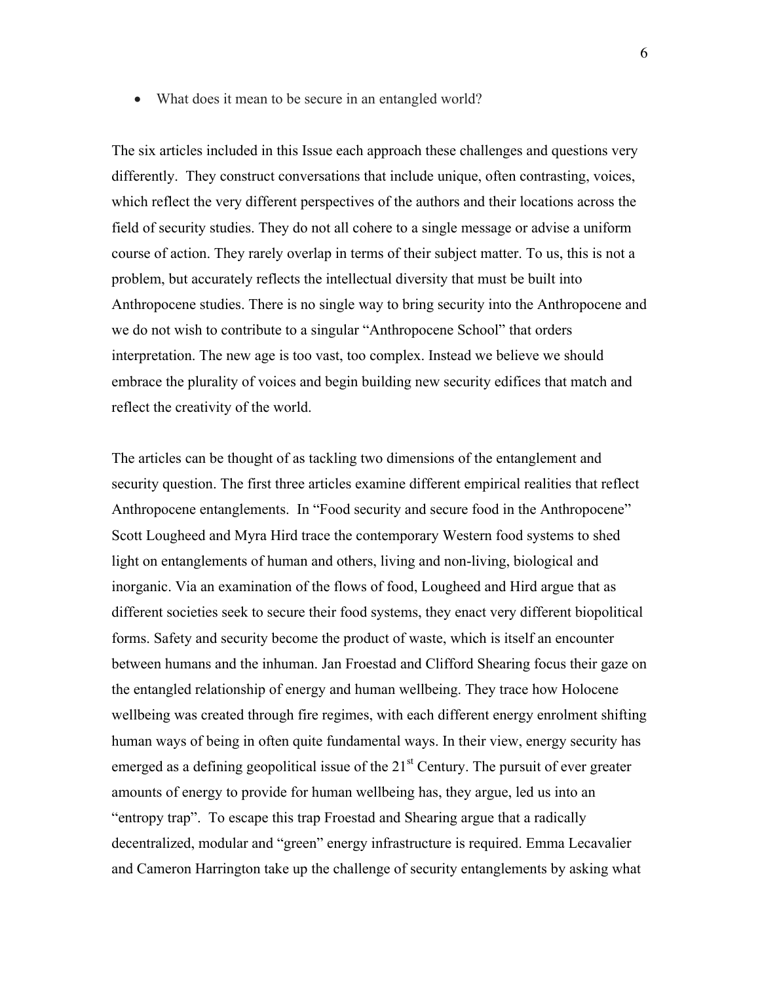• What does it mean to be secure in an entangled world?

The six articles included in this Issue each approach these challenges and questions very differently. They construct conversations that include unique, often contrasting, voices, which reflect the very different perspectives of the authors and their locations across the field of security studies. They do not all cohere to a single message or advise a uniform course of action. They rarely overlap in terms of their subject matter. To us, this is not a problem, but accurately reflects the intellectual diversity that must be built into Anthropocene studies. There is no single way to bring security into the Anthropocene and we do not wish to contribute to a singular "Anthropocene School" that orders interpretation. The new age is too vast, too complex. Instead we believe we should embrace the plurality of voices and begin building new security edifices that match and reflect the creativity of the world.

The articles can be thought of as tackling two dimensions of the entanglement and security question. The first three articles examine different empirical realities that reflect Anthropocene entanglements. In "Food security and secure food in the Anthropocene" Scott Lougheed and Myra Hird trace the contemporary Western food systems to shed light on entanglements of human and others, living and non-living, biological and inorganic. Via an examination of the flows of food, Lougheed and Hird argue that as different societies seek to secure their food systems, they enact very different biopolitical forms. Safety and security become the product of waste, which is itself an encounter between humans and the inhuman. Jan Froestad and Clifford Shearing focus their gaze on the entangled relationship of energy and human wellbeing. They trace how Holocene wellbeing was created through fire regimes, with each different energy enrolment shifting human ways of being in often quite fundamental ways. In their view, energy security has emerged as a defining geopolitical issue of the  $21<sup>st</sup>$  Century. The pursuit of ever greater amounts of energy to provide for human wellbeing has, they argue, led us into an "entropy trap". To escape this trap Froestad and Shearing argue that a radically decentralized, modular and "green" energy infrastructure is required. Emma Lecavalier and Cameron Harrington take up the challenge of security entanglements by asking what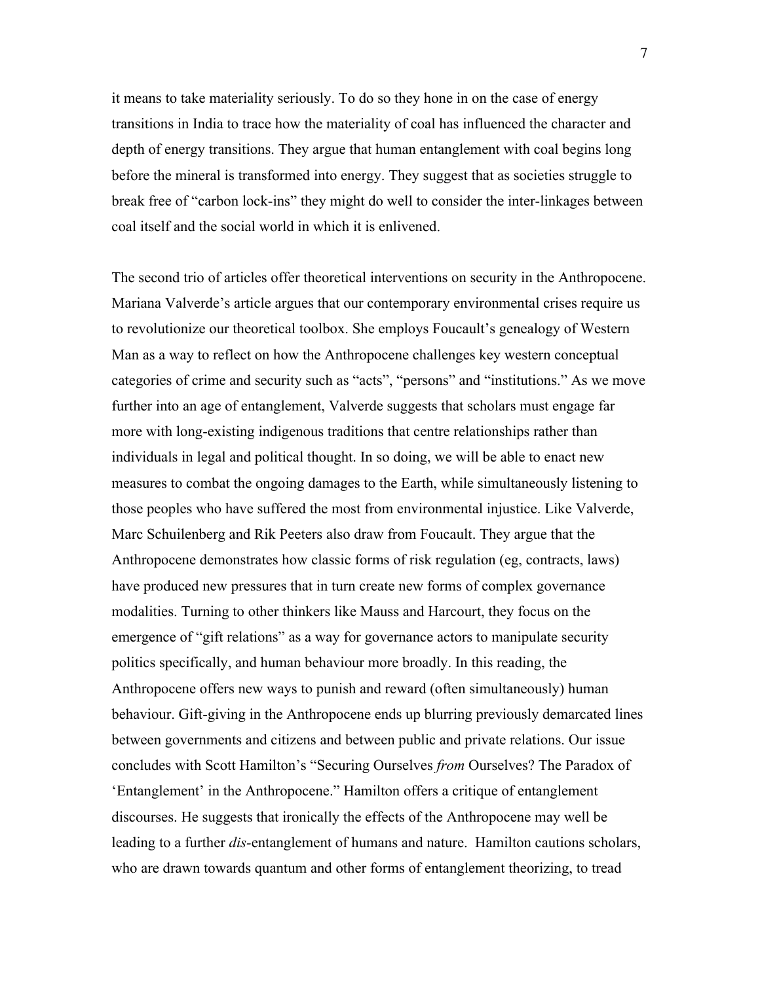it means to take materiality seriously. To do so they hone in on the case of energy transitions in India to trace how the materiality of coal has influenced the character and depth of energy transitions. They argue that human entanglement with coal begins long before the mineral is transformed into energy. They suggest that as societies struggle to break free of "carbon lock-ins" they might do well to consider the inter-linkages between coal itself and the social world in which it is enlivened.

The second trio of articles offer theoretical interventions on security in the Anthropocene. Mariana Valverde's article argues that our contemporary environmental crises require us to revolutionize our theoretical toolbox. She employs Foucault's genealogy of Western Man as a way to reflect on how the Anthropocene challenges key western conceptual categories of crime and security such as "acts", "persons" and "institutions." As we move further into an age of entanglement, Valverde suggests that scholars must engage far more with long-existing indigenous traditions that centre relationships rather than individuals in legal and political thought. In so doing, we will be able to enact new measures to combat the ongoing damages to the Earth, while simultaneously listening to those peoples who have suffered the most from environmental injustice. Like Valverde, Marc Schuilenberg and Rik Peeters also draw from Foucault. They argue that the Anthropocene demonstrates how classic forms of risk regulation (eg, contracts, laws) have produced new pressures that in turn create new forms of complex governance modalities. Turning to other thinkers like Mauss and Harcourt, they focus on the emergence of "gift relations" as a way for governance actors to manipulate security politics specifically, and human behaviour more broadly. In this reading, the Anthropocene offers new ways to punish and reward (often simultaneously) human behaviour. Gift-giving in the Anthropocene ends up blurring previously demarcated lines between governments and citizens and between public and private relations. Our issue concludes with Scott Hamilton's "Securing Ourselves *from* Ourselves? The Paradox of 'Entanglement' in the Anthropocene." Hamilton offers a critique of entanglement discourses. He suggests that ironically the effects of the Anthropocene may well be leading to a further *dis-*entanglement of humans and nature. Hamilton cautions scholars, who are drawn towards quantum and other forms of entanglement theorizing, to tread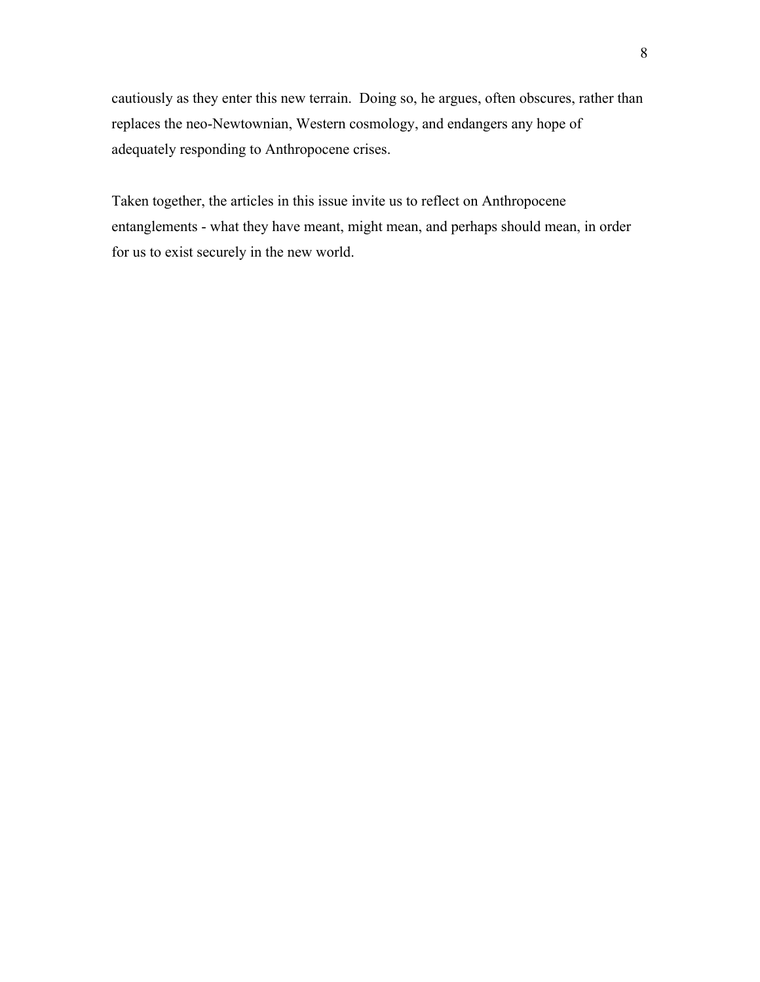cautiously as they enter this new terrain. Doing so, he argues, often obscures, rather than replaces the neo-Newtownian, Western cosmology, and endangers any hope of adequately responding to Anthropocene crises.

Taken together, the articles in this issue invite us to reflect on Anthropocene entanglements - what they have meant, might mean, and perhaps should mean, in order for us to exist securely in the new world.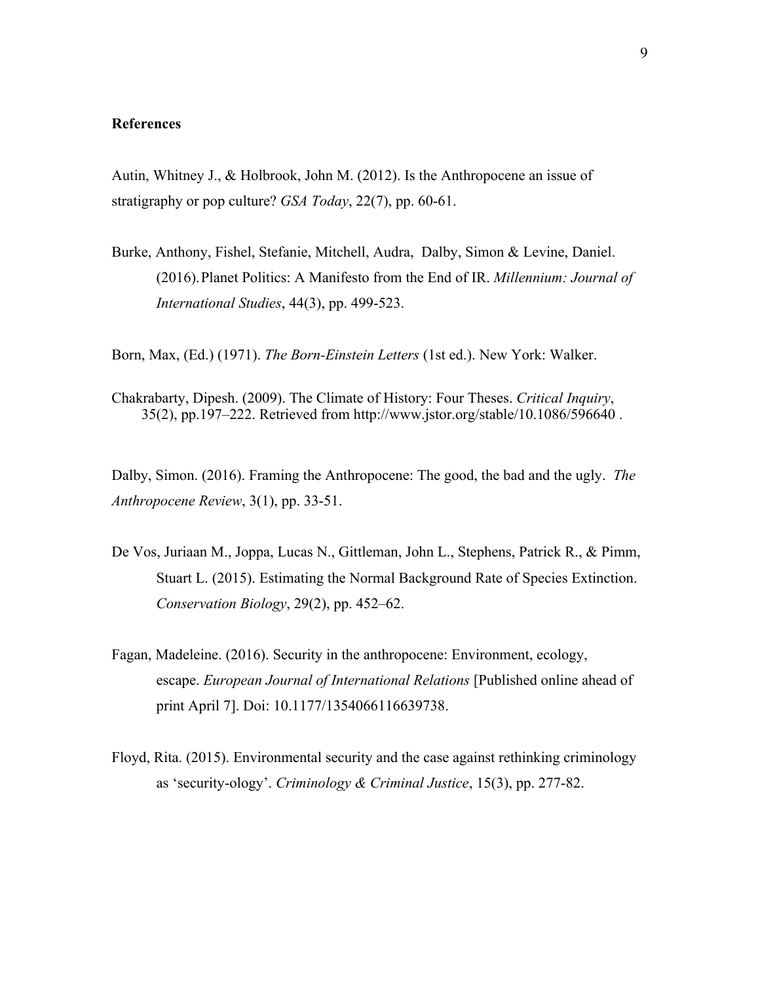### **References**

Autin, Whitney J., & Holbrook, John M. (2012). Is the Anthropocene an issue of stratigraphy or pop culture? *GSA Today*, 22(7), pp. 60-61.

Burke, Anthony, Fishel, Stefanie, Mitchell, Audra, Dalby, Simon & Levine, Daniel. (2016).Planet Politics: A Manifesto from the End of IR. *Millennium: Journal of International Studies*, 44(3), pp. 499-523.

Born, Max, (Ed.) (1971). *The Born-Einstein Letters* (1st ed.). New York: Walker.

Chakrabarty, Dipesh. (2009). The Climate of History: Four Theses. *Critical Inquiry*, 35(2), pp.197–222. Retrieved from http://www.jstor.org/stable/10.1086/596640 .

Dalby, Simon. (2016). Framing the Anthropocene: The good, the bad and the ugly. *The Anthropocene Review*, 3(1), pp. 33-51.

- De Vos, Juriaan M., Joppa, Lucas N., Gittleman, John L., Stephens, Patrick R., & Pimm, Stuart L. (2015). Estimating the Normal Background Rate of Species Extinction. *Conservation Biology*, 29(2), pp. 452–62.
- Fagan, Madeleine. (2016). Security in the anthropocene: Environment, ecology, escape. *European Journal of International Relations* [Published online ahead of print April 7]. Doi: 10.1177/1354066116639738.
- Floyd, Rita. (2015). Environmental security and the case against rethinking criminology as 'security-ology'. *Criminology & Criminal Justice*, 15(3), pp. 277-82.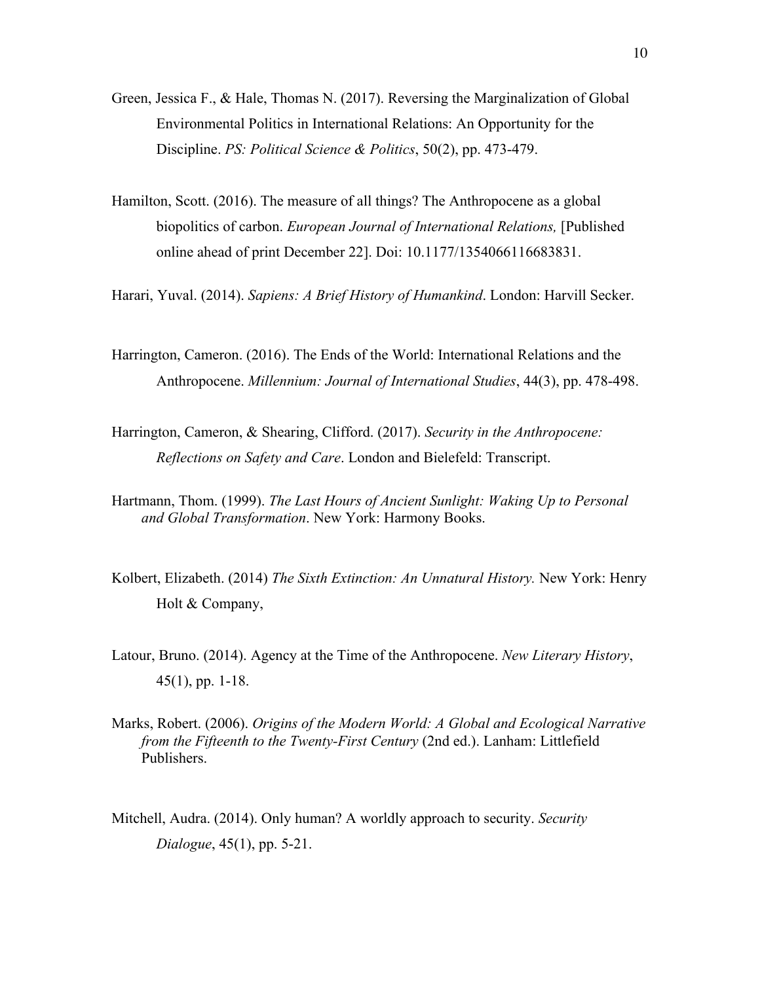- Green, Jessica F., & Hale, Thomas N. (2017). Reversing the Marginalization of Global Environmental Politics in International Relations: An Opportunity for the Discipline. *PS: Political Science & Politics*, 50(2), pp. 473-479.
- Hamilton, Scott. (2016). The measure of all things? The Anthropocene as a global biopolitics of carbon. *European Journal of International Relations,* [Published online ahead of print December 22]. Doi: 10.1177/1354066116683831.

Harari, Yuval. (2014). *Sapiens: A Brief History of Humankind*. London: Harvill Secker.

- Harrington, Cameron. (2016). The Ends of the World: International Relations and the Anthropocene. *Millennium: Journal of International Studies*, 44(3), pp. 478-498.
- Harrington, Cameron, & Shearing, Clifford. (2017). *Security in the Anthropocene: Reflections on Safety and Care*. London and Bielefeld: Transcript.
- Hartmann, Thom. (1999). *The Last Hours of Ancient Sunlight: Waking Up to Personal and Global Transformation*. New York: Harmony Books.
- Kolbert, Elizabeth. (2014) *The Sixth Extinction: An Unnatural History.* New York: Henry Holt & Company,
- Latour, Bruno. (2014). Agency at the Time of the Anthropocene. *New Literary History*, 45(1), pp. 1-18.
- Marks, Robert. (2006). *Origins of the Modern World: A Global and Ecological Narrative from the Fifteenth to the Twenty-First Century* (2nd ed.). Lanham: Littlefield Publishers.
- Mitchell, Audra. (2014). Only human? A worldly approach to security. *Security Dialogue*, 45(1), pp. 5-21.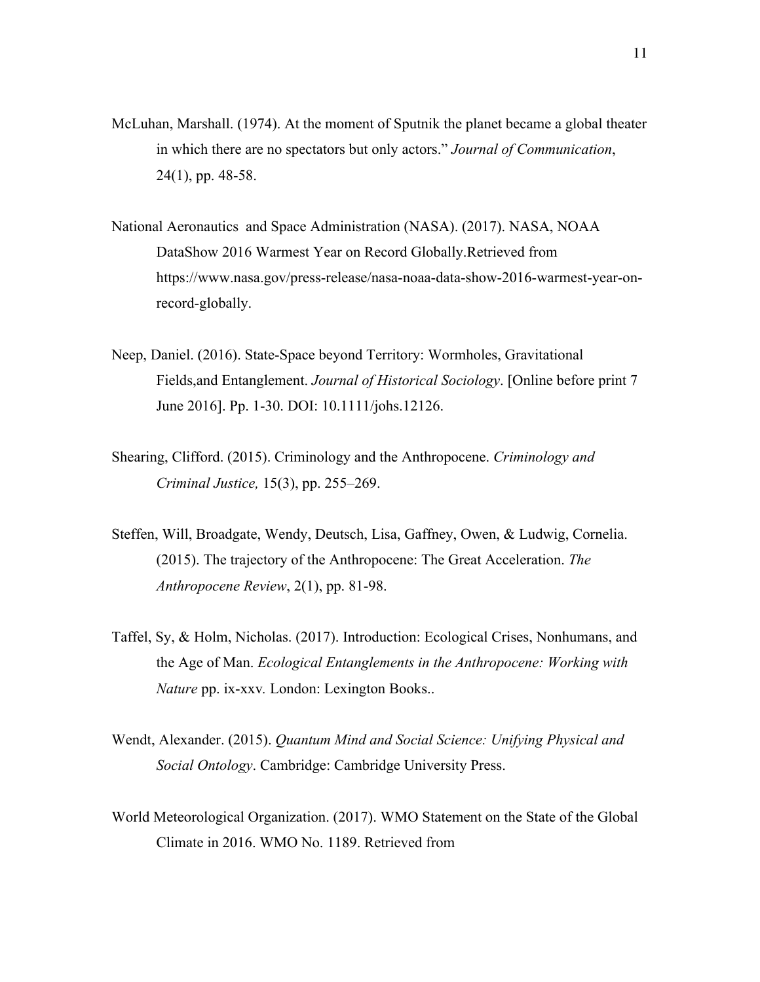- McLuhan, Marshall. (1974). At the moment of Sputnik the planet became a global theater in which there are no spectators but only actors." *Journal of Communication*, 24(1), pp. 48-58.
- National Aeronautics and Space Administration (NASA). (2017). NASA, NOAA DataShow 2016 Warmest Year on Record Globally.Retrieved from https://www.nasa.gov/press-release/nasa-noaa-data-show-2016-warmest-year-onrecord-globally.
- Neep, Daniel. (2016). State-Space beyond Territory: Wormholes, Gravitational Fields,and Entanglement. *Journal of Historical Sociology*. [Online before print 7 June 2016]. Pp. 1-30. DOI: 10.1111/johs.12126.
- Shearing, Clifford. (2015). Criminology and the Anthropocene. *Criminology and Criminal Justice,* 15(3), pp. 255–269.
- Steffen, Will, Broadgate, Wendy, Deutsch, Lisa, Gaffney, Owen, & Ludwig, Cornelia. (2015). The trajectory of the Anthropocene: The Great Acceleration. *The Anthropocene Review*, 2(1), pp. 81-98.
- Taffel, Sy, & Holm, Nicholas. (2017). Introduction: Ecological Crises, Nonhumans, and the Age of Man. *Ecological Entanglements in the Anthropocene: Working with Nature* pp. ix-xxv*.* London: Lexington Books..
- Wendt, Alexander. (2015). *Quantum Mind and Social Science: Unifying Physical and Social Ontology*. Cambridge: Cambridge University Press.
- World Meteorological Organization. (2017). WMO Statement on the State of the Global Climate in 2016. WMO No. 1189. Retrieved from